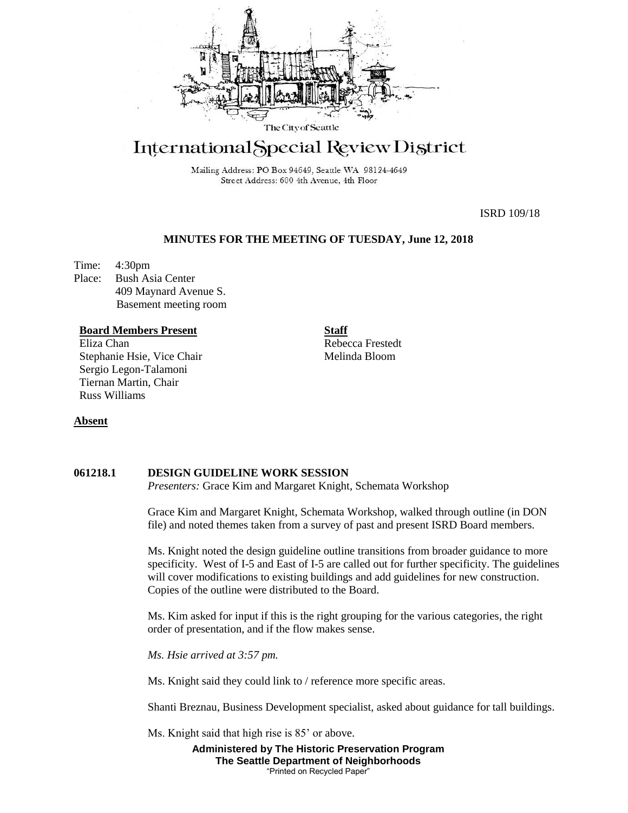

# International Special Review District

Mailing Address: PO Box 94649, Seattle WA 98124-4649 Street Address: 600 4th Avenue, 4th Floor

ISRD 109/18

# **MINUTES FOR THE MEETING OF TUESDAY, June 12, 2018**

Time: 4:30pm Place: Bush Asia Center 409 Maynard Avenue S. Basement meeting room

#### **Board Members Present**

Eliza Chan Stephanie Hsie, Vice Chair Sergio Legon-Talamoni Tiernan Martin, Chair Russ Williams

**Staff** Rebecca Frestedt Melinda Bloom

# **Absent**

#### **061218.1 DESIGN GUIDELINE WORK SESSION**

*Presenters:* Grace Kim and Margaret Knight, Schemata Workshop

Grace Kim and Margaret Knight, Schemata Workshop, walked through outline (in DON file) and noted themes taken from a survey of past and present ISRD Board members.

Ms. Knight noted the design guideline outline transitions from broader guidance to more specificity. West of I-5 and East of I-5 are called out for further specificity. The guidelines will cover modifications to existing buildings and add guidelines for new construction. Copies of the outline were distributed to the Board.

Ms. Kim asked for input if this is the right grouping for the various categories, the right order of presentation, and if the flow makes sense.

*Ms. Hsie arrived at 3:57 pm.*

Ms. Knight said they could link to / reference more specific areas.

Shanti Breznau, Business Development specialist, asked about guidance for tall buildings.

Ms. Knight said that high rise is 85' or above.

**Administered by The Historic Preservation Program The Seattle Department of Neighborhoods** "Printed on Recycled Paper"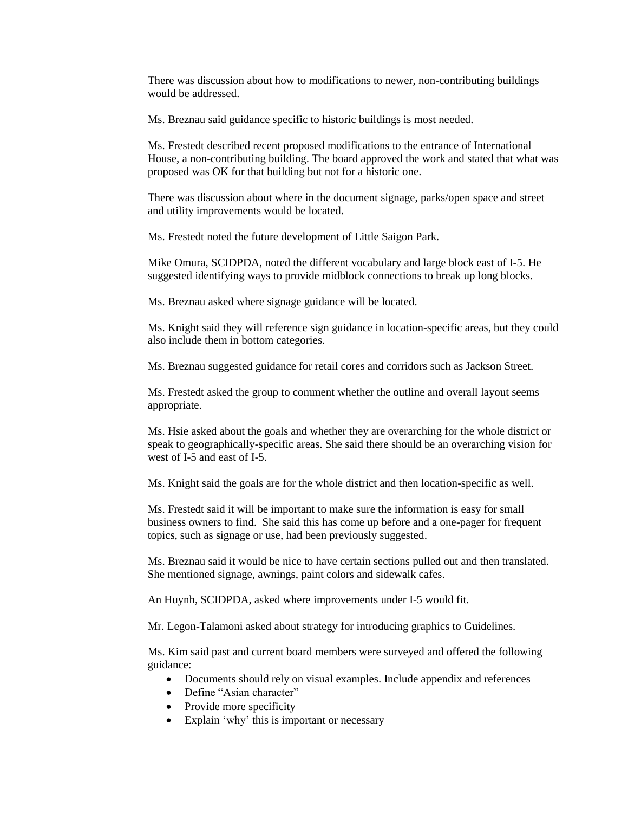There was discussion about how to modifications to newer, non-contributing buildings would be addressed.

Ms. Breznau said guidance specific to historic buildings is most needed.

Ms. Frestedt described recent proposed modifications to the entrance of International House, a non-contributing building. The board approved the work and stated that what was proposed was OK for that building but not for a historic one.

There was discussion about where in the document signage, parks/open space and street and utility improvements would be located.

Ms. Frestedt noted the future development of Little Saigon Park.

Mike Omura, SCIDPDA, noted the different vocabulary and large block east of I-5. He suggested identifying ways to provide midblock connections to break up long blocks.

Ms. Breznau asked where signage guidance will be located.

Ms. Knight said they will reference sign guidance in location-specific areas, but they could also include them in bottom categories.

Ms. Breznau suggested guidance for retail cores and corridors such as Jackson Street.

Ms. Frestedt asked the group to comment whether the outline and overall layout seems appropriate.

Ms. Hsie asked about the goals and whether they are overarching for the whole district or speak to geographically-specific areas. She said there should be an overarching vision for west of I-5 and east of I-5.

Ms. Knight said the goals are for the whole district and then location-specific as well.

Ms. Frestedt said it will be important to make sure the information is easy for small business owners to find. She said this has come up before and a one-pager for frequent topics, such as signage or use, had been previously suggested.

Ms. Breznau said it would be nice to have certain sections pulled out and then translated. She mentioned signage, awnings, paint colors and sidewalk cafes.

An Huynh, SCIDPDA, asked where improvements under I-5 would fit.

Mr. Legon-Talamoni asked about strategy for introducing graphics to Guidelines.

Ms. Kim said past and current board members were surveyed and offered the following guidance:

- Documents should rely on visual examples. Include appendix and references
- Define "Asian character"
- Provide more specificity
- Explain 'why' this is important or necessary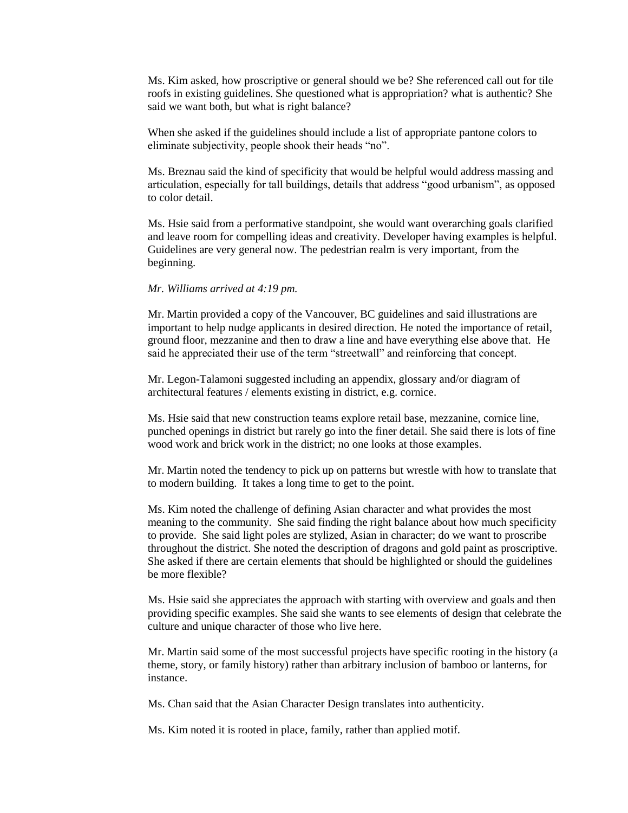Ms. Kim asked, how proscriptive or general should we be? She referenced call out for tile roofs in existing guidelines. She questioned what is appropriation? what is authentic? She said we want both, but what is right balance?

When she asked if the guidelines should include a list of appropriate pantone colors to eliminate subjectivity, people shook their heads "no".

Ms. Breznau said the kind of specificity that would be helpful would address massing and articulation, especially for tall buildings, details that address "good urbanism", as opposed to color detail.

Ms. Hsie said from a performative standpoint, she would want overarching goals clarified and leave room for compelling ideas and creativity. Developer having examples is helpful. Guidelines are very general now. The pedestrian realm is very important, from the beginning.

#### *Mr. Williams arrived at 4:19 pm.*

Mr. Martin provided a copy of the Vancouver, BC guidelines and said illustrations are important to help nudge applicants in desired direction. He noted the importance of retail, ground floor, mezzanine and then to draw a line and have everything else above that. He said he appreciated their use of the term "streetwall" and reinforcing that concept.

Mr. Legon-Talamoni suggested including an appendix, glossary and/or diagram of architectural features / elements existing in district, e.g. cornice.

Ms. Hsie said that new construction teams explore retail base, mezzanine, cornice line, punched openings in district but rarely go into the finer detail. She said there is lots of fine wood work and brick work in the district; no one looks at those examples.

Mr. Martin noted the tendency to pick up on patterns but wrestle with how to translate that to modern building. It takes a long time to get to the point.

Ms. Kim noted the challenge of defining Asian character and what provides the most meaning to the community. She said finding the right balance about how much specificity to provide. She said light poles are stylized, Asian in character; do we want to proscribe throughout the district. She noted the description of dragons and gold paint as proscriptive. She asked if there are certain elements that should be highlighted or should the guidelines be more flexible?

Ms. Hsie said she appreciates the approach with starting with overview and goals and then providing specific examples. She said she wants to see elements of design that celebrate the culture and unique character of those who live here.

Mr. Martin said some of the most successful projects have specific rooting in the history (a theme, story, or family history) rather than arbitrary inclusion of bamboo or lanterns, for instance.

Ms. Chan said that the Asian Character Design translates into authenticity.

Ms. Kim noted it is rooted in place, family, rather than applied motif.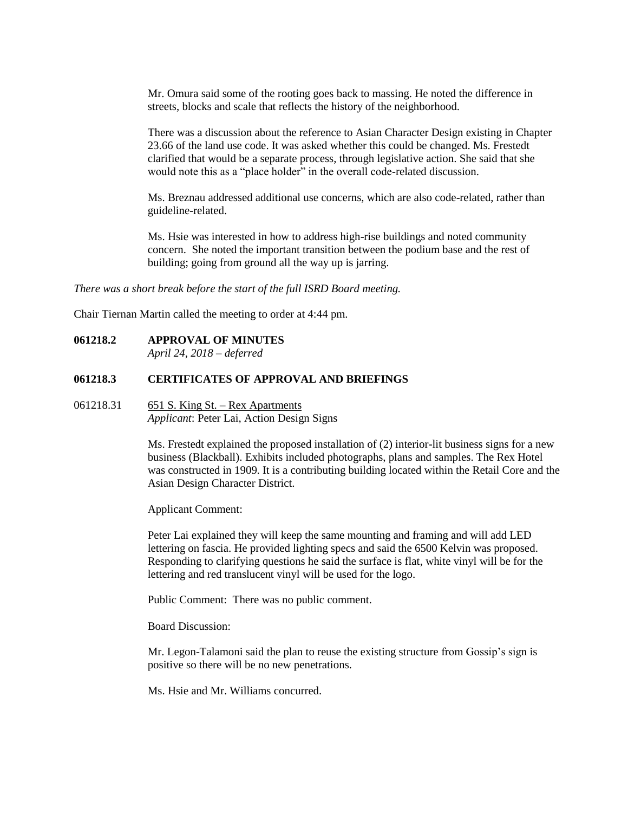Mr. Omura said some of the rooting goes back to massing. He noted the difference in streets, blocks and scale that reflects the history of the neighborhood.

There was a discussion about the reference to Asian Character Design existing in Chapter 23.66 of the land use code. It was asked whether this could be changed. Ms. Frestedt clarified that would be a separate process, through legislative action. She said that she would note this as a "place holder" in the overall code-related discussion.

Ms. Breznau addressed additional use concerns, which are also code-related, rather than guideline-related.

Ms. Hsie was interested in how to address high-rise buildings and noted community concern. She noted the important transition between the podium base and the rest of building; going from ground all the way up is jarring.

*There was a short break before the start of the full ISRD Board meeting.*

Chair Tiernan Martin called the meeting to order at 4:44 pm.

#### **061218.2 APPROVAL OF MINUTES**

*April 24, 2018 – deferred* 

#### **061218.3 CERTIFICATES OF APPROVAL AND BRIEFINGS**

## 061218.31 651 S. King St. – Rex Apartments *Applicant*: Peter Lai, Action Design Signs

Ms. Frestedt explained the proposed installation of (2) interior-lit business signs for a new business (Blackball). Exhibits included photographs, plans and samples. The Rex Hotel was constructed in 1909. It is a contributing building located within the Retail Core and the Asian Design Character District.

Applicant Comment:

Peter Lai explained they will keep the same mounting and framing and will add LED lettering on fascia. He provided lighting specs and said the 6500 Kelvin was proposed. Responding to clarifying questions he said the surface is flat, white vinyl will be for the lettering and red translucent vinyl will be used for the logo.

Public Comment: There was no public comment.

Board Discussion:

Mr. Legon-Talamoni said the plan to reuse the existing structure from Gossip's sign is positive so there will be no new penetrations.

Ms. Hsie and Mr. Williams concurred.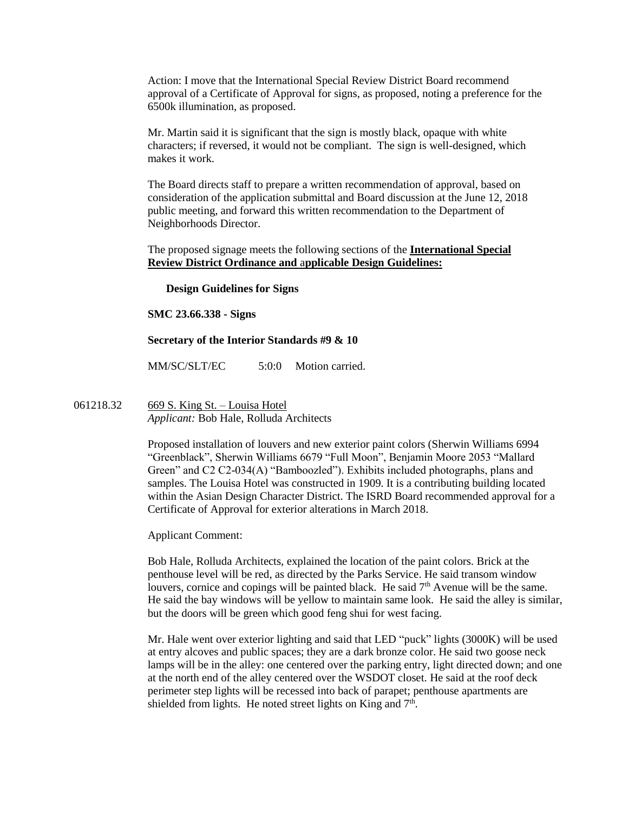Action: I move that the International Special Review District Board recommend approval of a Certificate of Approval for signs, as proposed, noting a preference for the 6500k illumination, as proposed.

Mr. Martin said it is significant that the sign is mostly black, opaque with white characters; if reversed, it would not be compliant. The sign is well-designed, which makes it work.

The Board directs staff to prepare a written recommendation of approval, based on consideration of the application submittal and Board discussion at the June 12, 2018 public meeting, and forward this written recommendation to the Department of Neighborhoods Director.

The proposed signage meets the following sections of the **International Special Review District Ordinance and** a**pplicable Design Guidelines:**

#### **Design Guidelines for Signs**

**SMC 23.66.338 - Signs**

#### **Secretary of the Interior Standards #9 & 10**

MM/SC/SLT/EC 5:0:0 Motion carried.

061218.32 669 S. King St. – Louisa Hotel *Applicant:* Bob Hale, Rolluda Architects

> Proposed installation of louvers and new exterior paint colors (Sherwin Williams 6994 "Greenblack", Sherwin Williams 6679 "Full Moon", Benjamin Moore 2053 "Mallard Green" and C2 C2-034(A) "Bamboozled"). Exhibits included photographs, plans and samples. The Louisa Hotel was constructed in 1909. It is a contributing building located within the Asian Design Character District. The ISRD Board recommended approval for a Certificate of Approval for exterior alterations in March 2018.

Applicant Comment:

Bob Hale, Rolluda Architects, explained the location of the paint colors. Brick at the penthouse level will be red, as directed by the Parks Service. He said transom window louvers, cornice and copings will be painted black. He said  $7<sup>th</sup>$  Avenue will be the same. He said the bay windows will be yellow to maintain same look. He said the alley is similar, but the doors will be green which good feng shui for west facing.

Mr. Hale went over exterior lighting and said that LED "puck" lights (3000K) will be used at entry alcoves and public spaces; they are a dark bronze color. He said two goose neck lamps will be in the alley: one centered over the parking entry, light directed down; and one at the north end of the alley centered over the WSDOT closet. He said at the roof deck perimeter step lights will be recessed into back of parapet; penthouse apartments are shielded from lights. He noted street lights on King and  $7<sup>th</sup>$ .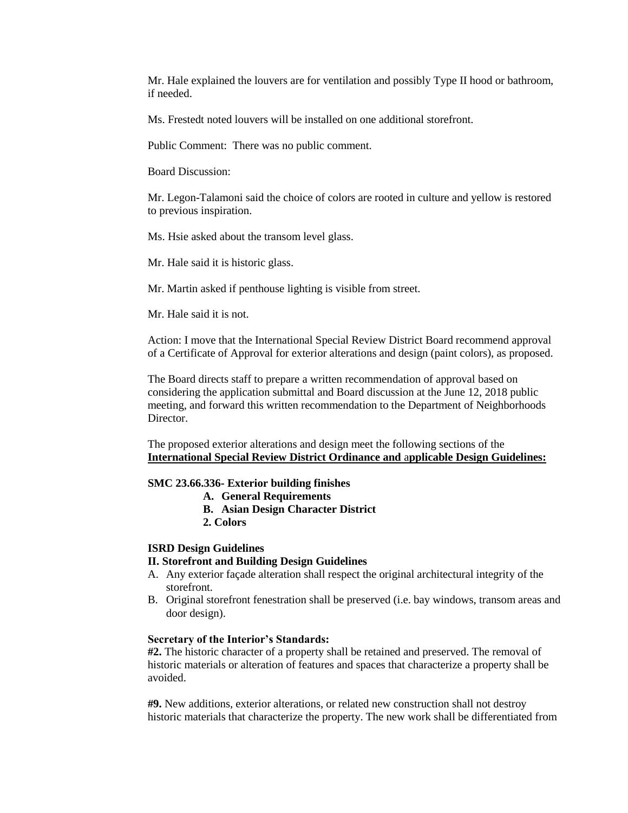Mr. Hale explained the louvers are for ventilation and possibly Type II hood or bathroom, if needed.

Ms. Frestedt noted louvers will be installed on one additional storefront.

Public Comment: There was no public comment.

Board Discussion:

Mr. Legon-Talamoni said the choice of colors are rooted in culture and yellow is restored to previous inspiration.

Ms. Hsie asked about the transom level glass.

Mr. Hale said it is historic glass.

Mr. Martin asked if penthouse lighting is visible from street.

Mr. Hale said it is not.

Action: I move that the International Special Review District Board recommend approval of a Certificate of Approval for exterior alterations and design (paint colors), as proposed.

The Board directs staff to prepare a written recommendation of approval based on considering the application submittal and Board discussion at the June 12, 2018 public meeting, and forward this written recommendation to the Department of Neighborhoods Director.

The proposed exterior alterations and design meet the following sections of the **International Special Review District Ordinance and** a**pplicable Design Guidelines:**

#### **SMC 23.66.336- Exterior building finishes**

- **A. General Requirements**
- **B. Asian Design Character District**
- **2. Colors**

# **ISRD Design Guidelines**

#### **II. Storefront and Building Design Guidelines**

- A. Any exterior façade alteration shall respect the original architectural integrity of the storefront.
- B. Original storefront fenestration shall be preserved (i.e. bay windows, transom areas and door design).

#### **Secretary of the Interior's Standards:**

**#2.** The historic character of a property shall be retained and preserved. The removal of historic materials or alteration of features and spaces that characterize a property shall be avoided.

**#9.** New additions, exterior alterations, or related new construction shall not destroy historic materials that characterize the property. The new work shall be differentiated from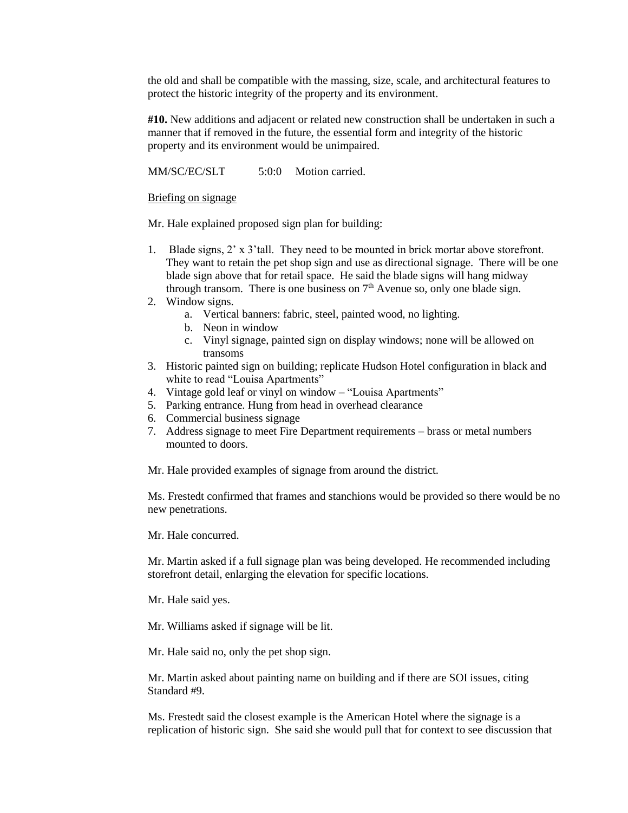the old and shall be compatible with the massing, size, scale, and architectural features to protect the historic integrity of the property and its environment.

**#10.** New additions and adjacent or related new construction shall be undertaken in such a manner that if removed in the future, the essential form and integrity of the historic property and its environment would be unimpaired.

MM/SC/EC/SLT 5:0:0 Motion carried.

#### Briefing on signage

Mr. Hale explained proposed sign plan for building:

- 1. Blade signs, 2' x 3'tall. They need to be mounted in brick mortar above storefront. They want to retain the pet shop sign and use as directional signage. There will be one blade sign above that for retail space. He said the blade signs will hang midway through transom. There is one business on  $7<sup>th</sup>$  Avenue so, only one blade sign.
- 2. Window signs.
	- a. Vertical banners: fabric, steel, painted wood, no lighting.
	- b. Neon in window
	- c. Vinyl signage, painted sign on display windows; none will be allowed on transoms
- 3. Historic painted sign on building; replicate Hudson Hotel configuration in black and white to read "Louisa Apartments"
- 4. Vintage gold leaf or vinyl on window "Louisa Apartments"
- 5. Parking entrance. Hung from head in overhead clearance
- 6. Commercial business signage
- 7. Address signage to meet Fire Department requirements brass or metal numbers mounted to doors.

Mr. Hale provided examples of signage from around the district.

Ms. Frestedt confirmed that frames and stanchions would be provided so there would be no new penetrations.

Mr. Hale concurred.

Mr. Martin asked if a full signage plan was being developed. He recommended including storefront detail, enlarging the elevation for specific locations.

Mr. Hale said yes.

Mr. Williams asked if signage will be lit.

Mr. Hale said no, only the pet shop sign.

Mr. Martin asked about painting name on building and if there are SOI issues, citing Standard #9.

Ms. Frestedt said the closest example is the American Hotel where the signage is a replication of historic sign. She said she would pull that for context to see discussion that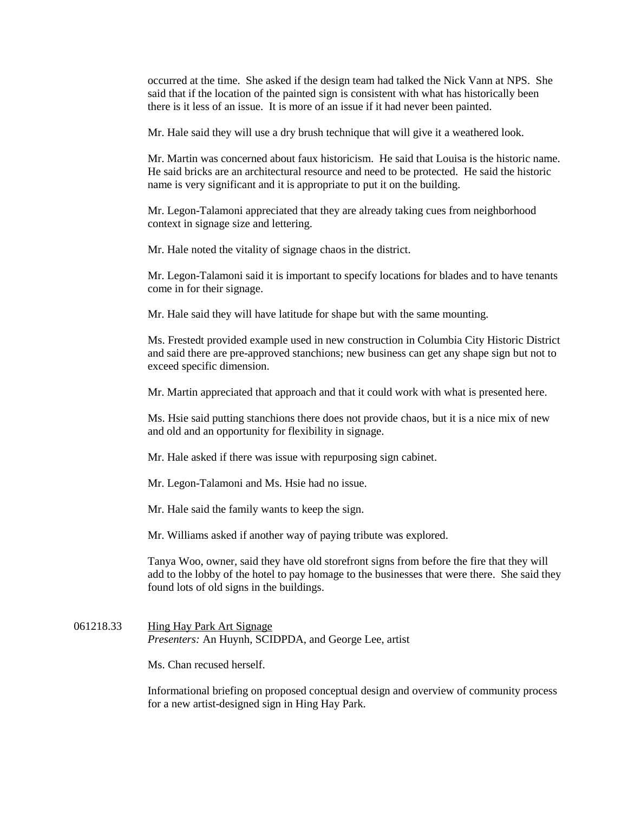occurred at the time. She asked if the design team had talked the Nick Vann at NPS. She said that if the location of the painted sign is consistent with what has historically been there is it less of an issue. It is more of an issue if it had never been painted.

Mr. Hale said they will use a dry brush technique that will give it a weathered look.

Mr. Martin was concerned about faux historicism. He said that Louisa is the historic name. He said bricks are an architectural resource and need to be protected. He said the historic name is very significant and it is appropriate to put it on the building.

Mr. Legon-Talamoni appreciated that they are already taking cues from neighborhood context in signage size and lettering.

Mr. Hale noted the vitality of signage chaos in the district.

Mr. Legon-Talamoni said it is important to specify locations for blades and to have tenants come in for their signage.

Mr. Hale said they will have latitude for shape but with the same mounting.

Ms. Frestedt provided example used in new construction in Columbia City Historic District and said there are pre-approved stanchions; new business can get any shape sign but not to exceed specific dimension.

Mr. Martin appreciated that approach and that it could work with what is presented here.

Ms. Hsie said putting stanchions there does not provide chaos, but it is a nice mix of new and old and an opportunity for flexibility in signage.

Mr. Hale asked if there was issue with repurposing sign cabinet.

Mr. Legon-Talamoni and Ms. Hsie had no issue.

Mr. Hale said the family wants to keep the sign.

Mr. Williams asked if another way of paying tribute was explored.

Tanya Woo, owner, said they have old storefront signs from before the fire that they will add to the lobby of the hotel to pay homage to the businesses that were there. She said they found lots of old signs in the buildings.

061218.33 Hing Hay Park Art Signage *Presenters:* An Huynh, SCIDPDA, and George Lee, artist

Ms. Chan recused herself.

Informational briefing on proposed conceptual design and overview of community process for a new artist-designed sign in Hing Hay Park.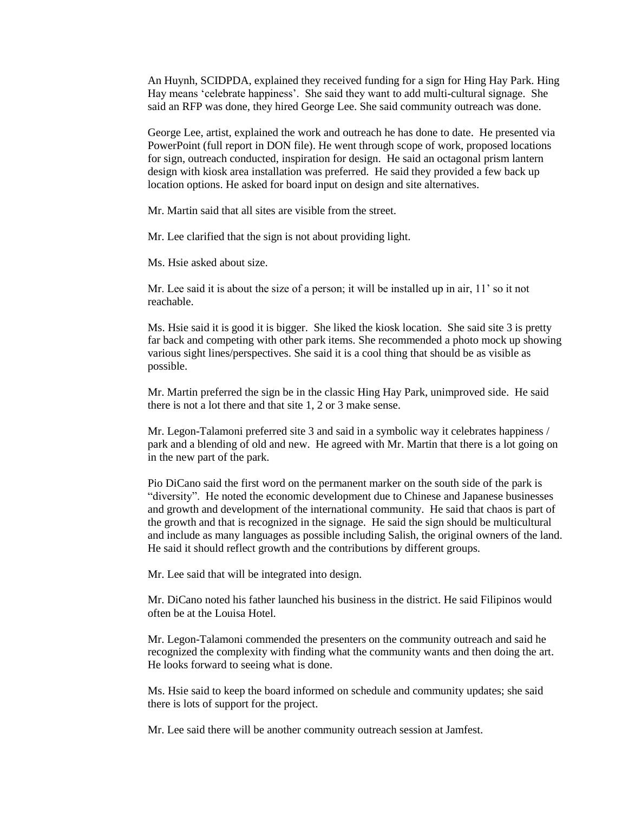An Huynh, SCIDPDA, explained they received funding for a sign for Hing Hay Park. Hing Hay means 'celebrate happiness'. She said they want to add multi-cultural signage. She said an RFP was done, they hired George Lee. She said community outreach was done.

George Lee, artist, explained the work and outreach he has done to date. He presented via PowerPoint (full report in DON file). He went through scope of work, proposed locations for sign, outreach conducted, inspiration for design. He said an octagonal prism lantern design with kiosk area installation was preferred. He said they provided a few back up location options. He asked for board input on design and site alternatives.

Mr. Martin said that all sites are visible from the street.

Mr. Lee clarified that the sign is not about providing light.

Ms. Hsie asked about size.

Mr. Lee said it is about the size of a person; it will be installed up in air, 11' so it not reachable.

Ms. Hsie said it is good it is bigger. She liked the kiosk location. She said site 3 is pretty far back and competing with other park items. She recommended a photo mock up showing various sight lines/perspectives. She said it is a cool thing that should be as visible as possible.

Mr. Martin preferred the sign be in the classic Hing Hay Park, unimproved side. He said there is not a lot there and that site 1, 2 or 3 make sense.

Mr. Legon-Talamoni preferred site 3 and said in a symbolic way it celebrates happiness / park and a blending of old and new. He agreed with Mr. Martin that there is a lot going on in the new part of the park.

Pio DiCano said the first word on the permanent marker on the south side of the park is "diversity". He noted the economic development due to Chinese and Japanese businesses and growth and development of the international community. He said that chaos is part of the growth and that is recognized in the signage. He said the sign should be multicultural and include as many languages as possible including Salish, the original owners of the land. He said it should reflect growth and the contributions by different groups.

Mr. Lee said that will be integrated into design.

Mr. DiCano noted his father launched his business in the district. He said Filipinos would often be at the Louisa Hotel.

Mr. Legon-Talamoni commended the presenters on the community outreach and said he recognized the complexity with finding what the community wants and then doing the art. He looks forward to seeing what is done.

Ms. Hsie said to keep the board informed on schedule and community updates; she said there is lots of support for the project.

Mr. Lee said there will be another community outreach session at Jamfest.